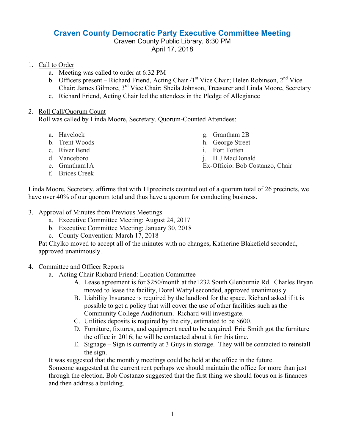## **Craven County Democratic Party Executive Committee Meeting**

## Craven County Public Library, 6:30 PM April 17, 2018

## 1. Call to Order

- a. Meeting was called to order at 6:32 PM
- b. Officers present Richard Friend, Acting Chair /1<sup>st</sup> Vice Chair; Helen Robinson, 2<sup>nd</sup> Vice Chair; James Gilmore, 3rd Vice Chair; Sheila Johnson, Treasurer and Linda Moore, Secretary
- c. Richard Friend, Acting Chair led the attendees in the Pledge of Allegiance

## 2. Roll Call/Quorum Count

Roll was called by Linda Moore, Secretary. Quorum-Counted Attendees:

- a. Havelock
- b. Trent Woods
- c. River Bend
- d. Vanceboro
- e. Grantham1A
- f. Brices Creek
- g. Grantham 2B
- h. George Street
- i. Fort Totten
- j. H J MacDonald
- Ex-Officio: Bob Costanzo, Chair

Linda Moore, Secretary, affirms that with 11precincts counted out of a quorum total of 26 precincts, we have over 40% of our quorum total and thus have a quorum for conducting business.

- 3. Approval of Minutes from Previous Meetings
	- a. Executive Committee Meeting: August 24, 2017
	- b. Executive Committee Meeting: January 30, 2018
	- c. County Convention: March 17, 2018

Pat Chylko moved to accept all of the minutes with no changes, Katherine Blakefield seconded, approved unanimously.

- 4. Committee and Officer Reports
	- a. Acting Chair Richard Friend: Location Committee
		- A. Lease agreement is for \$250/month at the1232 South Glenburnie Rd. Charles Bryan moved to lease the facility, Dorel Wattyl seconded, approved unanimously.
		- B. Liability Insurance is required by the landlord for the space. Richard asked if it is possible to get a policy that will cover the use of other facilities such as the Community College Auditorium. Richard will investigate.
		- C. Utilities deposits is required by the city, estimated to be \$600.
		- D. Furniture, fixtures, and equipment need to be acquired. Eric Smith got the furniture the office in 2016; he will be contacted about it for this time.
		- E. Signage Sign is currently at 3 Guys in storage. They will be contacted to reinstall the sign.

It was suggested that the monthly meetings could be held at the office in the future.

Someone suggested at the current rent perhaps we should maintain the office for more than just through the election. Bob Costanzo suggested that the first thing we should focus on is finances and then address a building.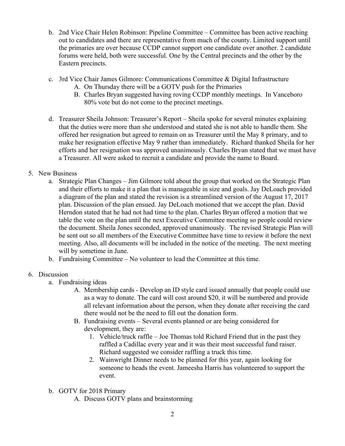- b. 2nd Vice Chair Helen Robinson: Pipeline Committee Committee has been active reaching out to candidates and there are representative from much of the county. Limited support until the primaries are over because CCDP cannot support one candidate over another. 2 candidate forums were held, both were successful. One by the Central precincts and the other by the Eastern precincts.
- c. 3rd Vice Chair James Gilmore: Communications Committee & Digital Infrastructure
	- A. On Thursday there will be a GOTV push for the Primaries
	- B. Charles Bryan suggested having roving CCDP monthly meetings. In Vanceboro 80% vote but do not come to the precinct meetings.
- d. Treasurer Sheila Johnson: Treasurer's Report Sheila spoke for several minutes explaining that the duties were more than she understood and stated she is not able to handle them. She offered her resignation but agreed to remain on as Treasurer until the May 8 primary, and to make her resignation effective May 9 rather than immediately. Richard thanked Sheila for her efforts and her resignation was approved unanimously. Charles Bryan stated that we must have a Treasurer. All were asked to recruit a candidate and provide the name to Board.
- 5. New Business
	- a. Strategic Plan Changes Jim Gilmore told about the group that worked on the Strategic Plan and their efforts to make it a plan that is manageable in size and goals. Jay DeLoach provided a diagram of the plan and stated the revision is a streamlined version of the August 17, 2017 plan. Discussion of the plan ensued. Jay DeLoach motioned that we accept the plan. David Herndon stated that he had not had time to the plan. Charles Bryan offered a motion that we table the vote on the plan until the next Executive Committee meeting so people could review the document. Sheila Jones seconded, approved unanimously. The revised Strategic Plan will be sent out so all members of the Executive Committee have time to review it before the next meeting. Also, all documents will be included in the notice of the meeting. The next meeting will by sometime in June.
	- b. Fundraising Committee No volunteer to lead the Committee at this time.
- 6. Discussion
	- a. Fundraising ideas
		- A. Membership cards Develop an ID style card issued annually that people could use as a way to donate. The card will cost around \$20, it will be numbered and provide all relevant information about the person, when they donate after receiving the card there would not be the need to fill out the donation form.
		- B. Fundraising events Several events planned or are being considered for development, they are:
			- 1. Vehicle/truck raffle Joe Thomas told Richard Friend that in the past they raffled a Cadillac every year and it was their most successful fund raiser. Richard suggested we consider raffling a truck this time.
			- 2. Wainwright Dinner needs to be planned for this year, again looking for someone to heads the event. Jameesha Harris has volunteered to support the event.
	- b. GOTV for 2018 Primary
		- A. Discuss GOTV plans and brainstorming